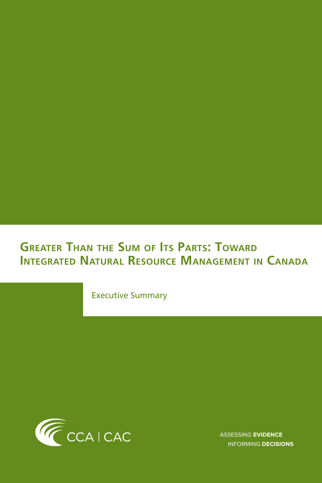# **Greater Than the Sum of Its Parts: Toward Integrated Natural Resource Management in Canada**

Executive Summary



 ASSESSING **EVIDENCE** INFORMING **DECISIONS**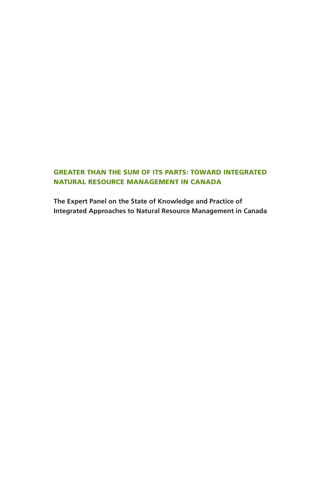## GREATER THAN THE SUM OF ITS PARTS: TOWARD INTEGRATED NATURAL RESOURCE MANAGEMENT IN CANADA

**The Expert Panel on the State of Knowledge and Practice of Integrated Approaches to Natural Resource Management in Canada**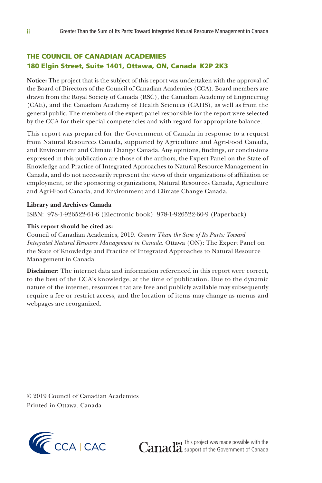## THE COUNCIL OF CANADIAN ACADEMIES 180 Elgin Street, Suite 1401, Ottawa, ON, Canada K2P 2K3

**Notice:** The project that is the subject of this report was undertaken with the approval of the Board of Directors of the Council of Canadian Academies (CCA). Board members are drawn from the Royal Society of Canada (RSC), the Canadian Academy of Engineering (CAE), and the Canadian Academy of Health Sciences (CAHS), as well as from the general public. The members of the expert panel responsible for the report were selected by the CCA for their special competencies and with regard for appropriate balance.

This report was prepared for the Government of Canada in response to a request from Natural Resources Canada, supported by Agriculture and Agri-Food Canada, and Environment and Climate Change Canada. Any opinions, findings, or conclusions expressed in this publication are those of the authors, the Expert Panel on the State of Knowledge and Practice of Integrated Approaches to Natural Resource Management in Canada, and do not necessarily represent the views of their organizations of affiliation or employment, or the sponsoring organizations, Natural Resources Canada, Agriculture and Agri-Food Canada, and Environment and Climate Change Canada.

#### **Library and Archives Canada**

ISBN: 978-1-926522-61-6 (Electronic book) 978-1-926522-60-9 (Paperback)

#### **This report should be cited as:**

Council of Canadian Academies, 2019. *Greater Than the Sum of Its Parts: Toward Integrated Natural Resource Management in Canada.* Ottawa (ON): The Expert Panel on the State of Knowledge and Practice of Integrated Approaches to Natural Resource Management in Canada.

**Disclaimer:** The internet data and information referenced in this report were correct, to the best of the CCA's knowledge, at the time of publication. Due to the dynamic nature of the internet, resources that are free and publicly available may subsequently require a fee or restrict access, and the location of items may change as menus and webpages are reorganized.

© 2019 Council of Canadian Academies Printed in Ottawa, Canada



This project was made possible with the support of the Government of Canada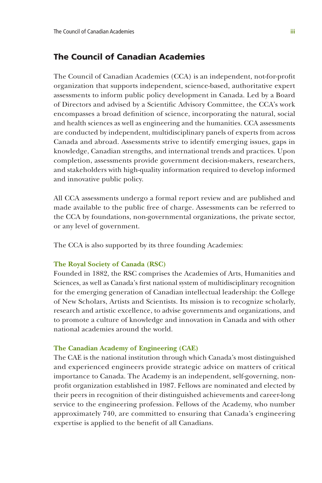## The Council of Canadian Academies

The Council of Canadian Academies (CCA) is an independent, not-for-profit organization that supports independent, science-based, authoritative expert assessments to inform public policy development in Canada. Led by a Board of Directors and advised by a Scientific Advisory Committee, the CCA's work encompasses a broad definition of science, incorporating the natural, social and health sciences as well as engineering and the humanities. CCA assessments are conducted by independent, multidisciplinary panels of experts from across Canada and abroad. Assessments strive to identify emerging issues, gaps in knowledge, Canadian strengths, and international trends and practices. Upon completion, assessments provide government decision-makers, researchers, and stakeholders with high-quality information required to develop informed and innovative public policy.

All CCA assessments undergo a formal report review and are published and made available to the public free of charge. Assessments can be referred to the CCA by foundations, non-governmental organizations, the private sector, or any level of government.

The CCA is also supported by its three founding Academies:

#### **The Royal Society of Canada (RSC)**

Founded in 1882, the RSC comprises the Academies of Arts, Humanities and Sciences, as well as Canada's first national system of multidisciplinary recognition for the emerging generation of Canadian intellectual leadership: the College of New Scholars, Artists and Scientists. Its mission is to recognize scholarly, research and artistic excellence, to advise governments and organizations, and to promote a culture of knowledge and innovation in Canada and with other national academies around the world.

#### **The Canadian Academy of Engineering (CAE)**

The CAE is the national institution through which Canada's most distinguished and experienced engineers provide strategic advice on matters of critical importance to Canada. The Academy is an independent, self-governing, nonprofit organization established in 1987. Fellows are nominated and elected by their peers in recognition of their distinguished achievements and career-long service to the engineering profession. Fellows of the Academy, who number approximately 740, are committed to ensuring that Canada's engineering expertise is applied to the benefit of all Canadians.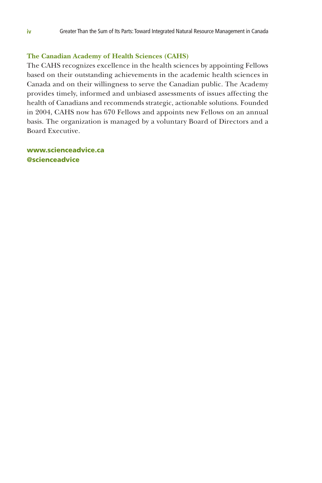#### **The Canadian Academy of Health Sciences (CAHS)**

The CAHS recognizes excellence in the health sciences by appointing Fellows based on their outstanding achievements in the academic health sciences in Canada and on their willingness to serve the Canadian public. The Academy provides timely, informed and unbiased assessments of issues affecting the health of Canadians and recommends strategic, actionable solutions. Founded in 2004, CAHS now has 670 Fellows and appoints new Fellows on an annual basis. The organization is managed by a voluntary Board of Directors and a Board Executive.

www.scienceadvice.ca @scienceadvice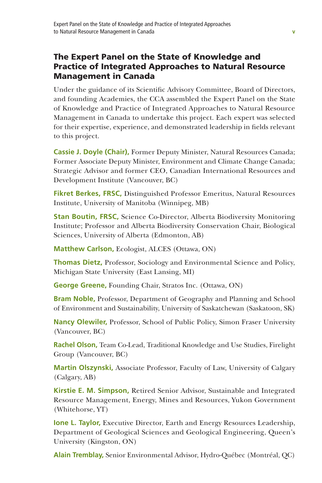## The Expert Panel on the State of Knowledge and Practice of Integrated Approaches to Natural Resource Management in Canada

Under the guidance of its Scientific Advisory Committee, Board of Directors, and founding Academies, the CCA assembled the Expert Panel on the State of Knowledge and Practice of Integrated Approaches to Natural Resource Management in Canada to undertake this project. Each expert was selected for their expertise, experience, and demonstrated leadership in fields relevant to this project.

**Cassie J. Doyle (Chair),** Former Deputy Minister, Natural Resources Canada; Former Associate Deputy Minister, Environment and Climate Change Canada; Strategic Advisor and former CEO, Canadian International Resources and Development Institute (Vancouver, BC)

**Fikret Berkes, FRSC,** Distinguished Professor Emeritus, Natural Resources Institute, University of Manitoba (Winnipeg, MB)

**Stan Boutin, FRSC,** Science Co-Director, Alberta Biodiversity Monitoring Institute; Professor and Alberta Biodiversity Conservation Chair, Biological Sciences, University of Alberta (Edmonton, AB)

**Matthew Carlson,** Ecologist, ALCES (Ottawa, ON)

**Thomas Dietz,** Professor, Sociology and Environmental Science and Policy, Michigan State University (East Lansing, MI)

**George Greene,** Founding Chair, Stratos Inc. (Ottawa, ON)

**Bram Noble,** Professor, Department of Geography and Planning and School of Environment and Sustainability, University of Saskatchewan (Saskatoon, SK)

**Nancy Olewiler,** Professor, School of Public Policy, Simon Fraser University (Vancouver, BC)

**Rachel Olson,** Team Co-Lead, Traditional Knowledge and Use Studies, Firelight Group (Vancouver, BC)

**Martin Olszynski,** Associate Professor, Faculty of Law, University of Calgary (Calgary, AB)

**Kirstie E. M. Simpson,** Retired Senior Advisor, Sustainable and Integrated Resource Management, Energy, Mines and Resources, Yukon Government (Whitehorse, YT)

**Ione L. Taylor,** Executive Director, Earth and Energy Resources Leadership, Department of Geological Sciences and Geological Engineering, Queen's University (Kingston, ON)

**Alain Tremblay,** Senior Environmental Advisor, Hydro-Québec (Montréal, QC)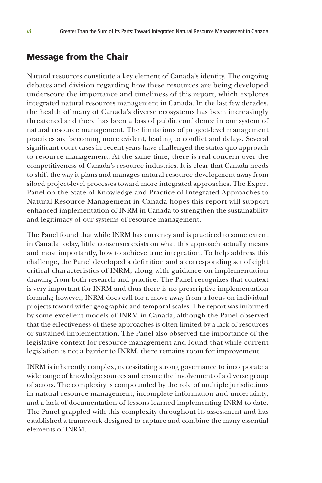### Message from the Chair

Natural resources constitute a key element of Canada's identity. The ongoing debates and division regarding how these resources are being developed underscore the importance and timeliness of this report, which explores integrated natural resources management in Canada. In the last few decades, the health of many of Canada's diverse ecosystems has been increasingly threatened and there has been a loss of public confidence in our system of natural resource management. The limitations of project-level management practices are becoming more evident, leading to conflict and delays. Several significant court cases in recent years have challenged the status quo approach to resource management. At the same time, there is real concern over the competitiveness of Canada's resource industries. It is clear that Canada needs to shift the way it plans and manages natural resource development away from siloed project-level processes toward more integrated approaches. The Expert Panel on the State of Knowledge and Practice of Integrated Approaches to Natural Resource Management in Canada hopes this report will support enhanced implementation of INRM in Canada to strengthen the sustainability and legitimacy of our systems of resource management.

The Panel found that while INRM has currency and is practiced to some extent in Canada today, little consensus exists on what this approach actually means and most importantly, how to achieve true integration. To help address this challenge, the Panel developed a definition and a corresponding set of eight critical characteristics of INRM, along with guidance on implementation drawing from both research and practice. The Panel recognizes that context is very important for INRM and thus there is no prescriptive implementation formula; however, INRM does call for a move away from a focus on individual projects toward wider geographic and temporal scales. The report was informed by some excellent models of INRM in Canada, although the Panel observed that the effectiveness of these approaches is often limited by a lack of resources or sustained implementation. The Panel also observed the importance of the legislative context for resource management and found that while current legislation is not a barrier to INRM, there remains room for improvement.

INRM is inherently complex, necessitating strong governance to incorporate a wide range of knowledge sources and ensure the involvement of a diverse group of actors. The complexity is compounded by the role of multiple jurisdictions in natural resource management, incomplete information and uncertainty, and a lack of documentation of lessons learned implementing INRM to date. The Panel grappled with this complexity throughout its assessment and has established a framework designed to capture and combine the many essential elements of INRM.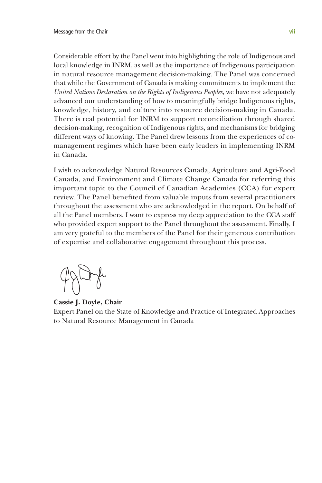Considerable effort by the Panel went into highlighting the role of Indigenous and local knowledge in INRM, as well as the importance of Indigenous participation in natural resource management decision-making. The Panel was concerned that while the Government of Canada is making commitments to implement the *United Nations Declaration on the Rights of Indigenous Peoples*, we have not adequately advanced our understanding of how to meaningfully bridge Indigenous rights, knowledge, history, and culture into resource decision-making in Canada. There is real potential for INRM to support reconciliation through shared decision-making, recognition of Indigenous rights, and mechanisms for bridging different ways of knowing. The Panel drew lessons from the experiences of comanagement regimes which have been early leaders in implementing INRM in Canada.

I wish to acknowledge Natural Resources Canada, Agriculture and Agri-Food Canada, and Environment and Climate Change Canada for referring this important topic to the Council of Canadian Academies (CCA) for expert review. The Panel benefited from valuable inputs from several practitioners throughout the assessment who are acknowledged in the report. On behalf of all the Panel members, I want to express my deep appreciation to the CCA staff who provided expert support to the Panel throughout the assessment. Finally, I am very grateful to the members of the Panel for their generous contribution of expertise and collaborative engagement throughout this process.

**Cassie J. Doyle, Chair** Expert Panel on the State of Knowledge and Practice of Integrated Approaches to Natural Resource Management in Canada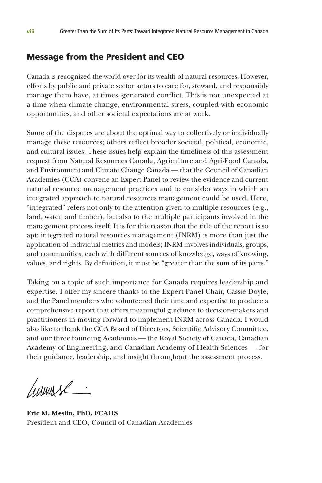## Message from the President and CEO

Canada is recognized the world over for its wealth of natural resources. However, efforts by public and private sector actors to care for, steward, and responsibly manage them have, at times, generated conflict. This is not unexpected at a time when climate change, environmental stress, coupled with economic opportunities, and other societal expectations are at work.

Some of the disputes are about the optimal way to collectively or individually manage these resources; others reflect broader societal, political, economic, and cultural issues. These issues help explain the timeliness of this assessment request from Natural Resources Canada, Agriculture and Agri-Food Canada, and Environment and Climate Change Canada — that the Council of Canadian Academies (CCA) convene an Expert Panel to review the evidence and current natural resource management practices and to consider ways in which an integrated approach to natural resources management could be used. Here, "integrated" refers not only to the attention given to multiple resources (e.g., land, water, and timber), but also to the multiple participants involved in the management process itself. It is for this reason that the title of the report is so apt: integrated natural resources management (INRM) is more than just the application of individual metrics and models; INRM involves individuals, groups, and communities, each with different sources of knowledge, ways of knowing, values, and rights. By definition, it must be "greater than the sum of its parts."

Taking on a topic of such importance for Canada requires leadership and expertise. I offer my sincere thanks to the Expert Panel Chair, Cassie Doyle, and the Panel members who volunteered their time and expertise to produce a comprehensive report that offers meaningful guidance to decision-makers and practitioners in moving forward to implement INRM across Canada. I would also like to thank the CCA Board of Directors, Scientific Advisory Committee, and our three founding Academies — the Royal Society of Canada, Canadian Academy of Engineering, and Canadian Academy of Health Sciences — for their guidance, leadership, and insight throughout the assessment process.

Cumuse

**Eric M. Meslin, PhD, FCAHS** President and CEO, Council of Canadian Academies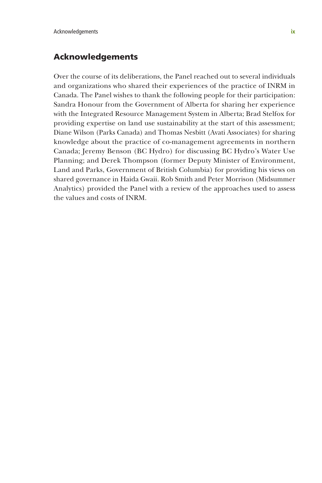## Acknowledgements

Over the course of its deliberations, the Panel reached out to several individuals and organizations who shared their experiences of the practice of INRM in Canada. The Panel wishes to thank the following people for their participation: Sandra Honour from the Government of Alberta for sharing her experience with the Integrated Resource Management System in Alberta; Brad Stelfox for providing expertise on land use sustainability at the start of this assessment; Diane Wilson (Parks Canada) and Thomas Nesbitt (Avati Associates) for sharing knowledge about the practice of co-management agreements in northern Canada; Jeremy Benson (BC Hydro) for discussing BC Hydro's Water Use Planning; and Derek Thompson (former Deputy Minister of Environment, Land and Parks, Government of British Columbia) for providing his views on shared governance in Haida Gwaii. Rob Smith and Peter Morrison (Midsummer Analytics) provided the Panel with a review of the approaches used to assess the values and costs of INRM.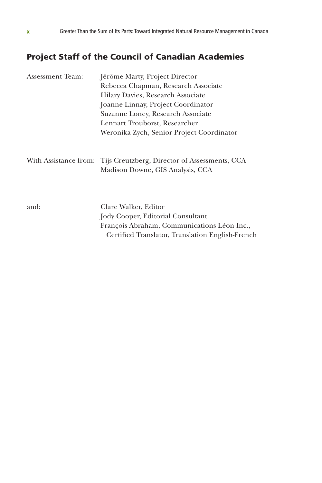## Project Staff of the Council of Canadian Academies

| Assessment Team: | Jérôme Marty, Project Director<br>Rebecca Chapman, Research Associate<br>Hilary Davies, Research Associate<br>Joanne Linnay, Project Coordinator<br>Suzanne Loney, Research Associate<br>Lennart Trouborst, Researcher<br>Weronika Zych, Senior Project Coordinator |
|------------------|---------------------------------------------------------------------------------------------------------------------------------------------------------------------------------------------------------------------------------------------------------------------|
|                  | With Assistance from: Tijs Creutzberg, Director of Assessments, CCA<br>Madison Downe, GIS Analysis, CCA                                                                                                                                                             |
| and:             | Clare Walker, Editor<br>Jody Cooper, Editorial Consultant<br>François Abraham, Communications Léon Inc.,<br>Certified Translator, Translation English-French                                                                                                        |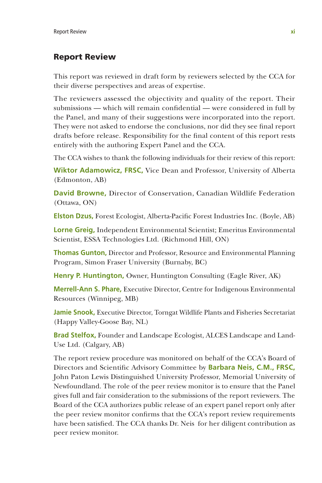## Report Review

This report was reviewed in draft form by reviewers selected by the CCA for their diverse perspectives and areas of expertise.

The reviewers assessed the objectivity and quality of the report. Their submissions — which will remain confidential — were considered in full by the Panel, and many of their suggestions were incorporated into the report. They were not asked to endorse the conclusions, nor did they see final report drafts before release. Responsibility for the final content of this report rests entirely with the authoring Expert Panel and the CCA.

The CCA wishes to thank the following individuals for their review of this report:

**Wiktor Adamowicz, FRSC,** Vice Dean and Professor, University of Alberta (Edmonton, AB)

**David Browne,** Director of Conservation, Canadian Wildlife Federation (Ottawa, ON)

**Elston Dzus,** Forest Ecologist, Alberta-Pacific Forest Industries Inc. (Boyle, AB)

**Lorne Greig,** Independent Environmental Scientist; Emeritus Environmental Scientist, ESSA Technologies Ltd. (Richmond Hill, ON)

**Thomas Gunton,** Director and Professor, Resource and Environmental Planning Program, Simon Fraser University (Burnaby, BC)

**Henry P. Huntington,** Owner, Huntington Consulting (Eagle River, AK)

**Merrell-Ann S. Phare,** Executive Director, Centre for Indigenous Environmental Resources (Winnipeg, MB)

**Jamie Snook,** Executive Director, Torngat Wildlife Plants and Fisheries Secretariat (Happy Valley-Goose Bay, NL)

**Brad Stelfox,** Founder and Landscape Ecologist, ALCES Landscape and Land-Use Ltd. (Calgary, AB)

The report review procedure was monitored on behalf of the CCA's Board of Directors and Scientific Advisory Committee by **Barbara Neis, C.M., FRSC,**  John Paton Lewis Distinguished University Professor, Memorial University of Newfoundland. The role of the peer review monitor is to ensure that the Panel gives full and fair consideration to the submissions of the report reviewers. The Board of the CCA authorizes public release of an expert panel report only after the peer review monitor confirms that the CCA's report review requirements have been satisfied. The CCA thanks Dr. Neis for her diligent contribution as peer review monitor.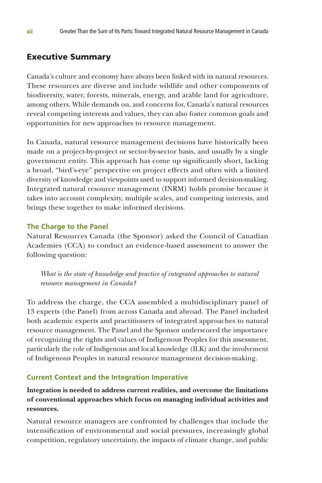## Executive Summary

Canada's culture and economy have always been linked with its natural resources. These resources are diverse and include wildlife and other components of biodiversity, water, forests, minerals, energy, and arable land for agriculture, among others. While demands on, and concerns for, Canada's natural resources reveal competing interests and values, they can also foster common goals and opportunities for new approaches to resource management.

In Canada, natural resource management decisions have historically been made on a project-by-project or sector-by-sector basis, and usually by a single government entity. This approach has come up significantly short, lacking a broad, "bird's-eye" perspective on project effects and often with a limited diversity of knowledge and viewpoints used to support informed decision-making. Integrated natural resource management (INRM) holds promise because it takes into account complexity, multiple scales, and competing interests, and brings these together to make informed decisions.

#### **The Charge to the Panel**

Natural Resources Canada (the Sponsor) asked the Council of Canadian Academies (CCA) to conduct an evidence-based assessment to answer the following question:

*What is the state of knowledge and practice of integrated approaches to natural resource management in Canada?*

To address the charge, the CCA assembled a multidisciplinary panel of 13 experts (the Panel) from across Canada and abroad. The Panel included both academic experts and practitioners of integrated approaches to natural resource management. The Panel and the Sponsor underscored the importance of recognizing the rights and values of Indigenous Peoples for this assessment, particularly the role of Indigenous and local knowledge (ILK) and the involvement of Indigenous Peoples in natural resource management decision-making.

#### **Current Context and the Integration Imperative**

**Integration is needed to address current realities, and overcome the limitations of conventional approaches which focus on managing individual activities and resources.** 

Natural resource managers are confronted by challenges that include the intensification of environmental and social pressures, increasingly global competition, regulatory uncertainty, the impacts of climate change, and public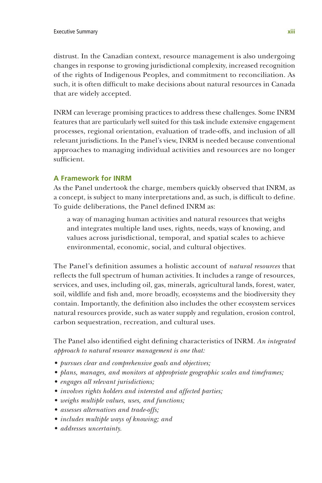distrust. In the Canadian context, resource management is also undergoing changes in response to growing jurisdictional complexity, increased recognition of the rights of Indigenous Peoples, and commitment to reconciliation. As such, it is often difficult to make decisions about natural resources in Canada that are widely accepted.

INRM can leverage promising practices to address these challenges. Some INRM features that are particularly well suited for this task include extensive engagement processes, regional orientation, evaluation of trade-offs, and inclusion of all relevant jurisdictions. In the Panel's view, INRM is needed because conventional approaches to managing individual activities and resources are no longer sufficient.

## **A Framework for INRM**

As the Panel undertook the charge, members quickly observed that INRM, as a concept, is subject to many interpretations and, as such, is difficult to define. To guide deliberations, the Panel defined INRM as:

a way of managing human activities and natural resources that weighs and integrates multiple land uses, rights, needs, ways of knowing, and values across jurisdictional, temporal, and spatial scales to achieve environmental, economic, social, and cultural objectives.

The Panel's definition assumes a holistic account of *natural resources* that reflects the full spectrum of human activities. It includes a range of resources, services, and uses, including oil, gas, minerals, agricultural lands, forest, water, soil, wildlife and fish and, more broadly, ecosystems and the biodiversity they contain. Importantly, the definition also includes the other ecosystem services natural resources provide, such as water supply and regulation, erosion control, carbon sequestration, recreation, and cultural uses.

The Panel also identified eight defining characteristics of INRM. *An integrated approach to natural resource management is one that:* 

- *• pursues clear and comprehensive goals and objectives;*
- *• plans, manages, and monitors at appropriate geographic scales and timeframes;*
- *• engages all relevant jurisdictions;*
- *• involves rights holders and interested and affected parties;*
- *• weighs multiple values, uses, and functions;*
- *• assesses alternatives and trade-offs;*
- *• includes multiple ways of knowing; and*
- *• addresses uncertainty.*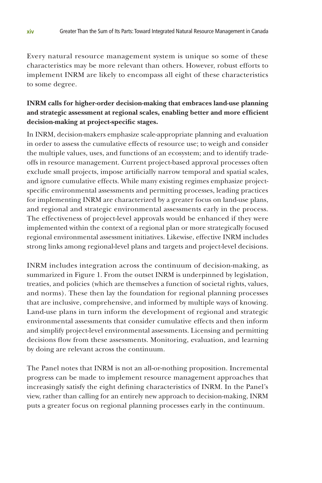Every natural resource management system is unique so some of these characteristics may be more relevant than others. However, robust efforts to implement INRM are likely to encompass all eight of these characteristics to some degree.

## **INRM calls for higher-order decision-making that embraces land-use planning and strategic assessment at regional scales, enabling better and more efficient decision-making at project-specific stages.**

In INRM, decision-makers emphasize scale-appropriate planning and evaluation in order to assess the cumulative effects of resource use; to weigh and consider the multiple values, uses, and functions of an ecosystem; and to identify tradeoffs in resource management. Current project-based approval processes often exclude small projects, impose artificially narrow temporal and spatial scales, and ignore cumulative effects. While many existing regimes emphasize projectspecific environmental assessments and permitting processes, leading practices for implementing INRM are characterized by a greater focus on land-use plans, and regional and strategic environmental assessments early in the process. The effectiveness of project-level approvals would be enhanced if they were implemented within the context of a regional plan or more strategically focused regional environmental assessment initiatives. Likewise, effective INRM includes strong links among regional-level plans and targets and project-level decisions.

INRM includes integration across the continuum of decision-making, as summarized in Figure 1. From the outset INRM is underpinned by legislation, treaties, and policies (which are themselves a function of societal rights, values, and norms). These then lay the foundation for regional planning processes that are inclusive, comprehensive, and informed by multiple ways of knowing. Land-use plans in turn inform the development of regional and strategic environmental assessments that consider cumulative effects and then inform and simplify project-level environmental assessments. Licensing and permitting decisions flow from these assessments. Monitoring, evaluation, and learning by doing are relevant across the continuum.

The Panel notes that INRM is not an all-or-nothing proposition. Incremental progress can be made to implement resource management approaches that increasingly satisfy the eight defining characteristics of INRM. In the Panel's view, rather than calling for an entirely new approach to decision-making, INRM puts a greater focus on regional planning processes early in the continuum.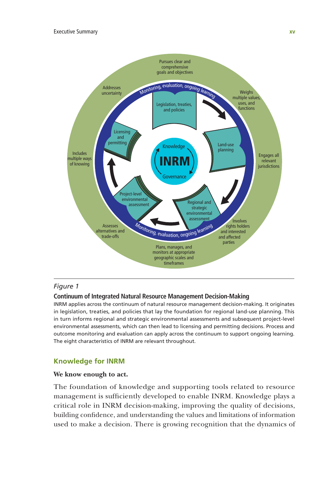

#### *Figure 1*

#### **Continuum of Integrated Natural Resource Management Decision-Making**

INRM applies across the continuum of natural resource management decision-making. It originates in legislation, treaties, and policies that lay the foundation for regional land-use planning. This in turn informs regional and strategic environmental assessments and subsequent project-level environmental assessments, which can then lead to licensing and permitting decisions. Process and outcome monitoring and evaluation can apply across the continuum to support ongoing learning. The eight characteristics of INRM are relevant throughout.

## **Knowledge for INRM**

#### **We know enough to act.**

The foundation of knowledge and supporting tools related to resource management is sufficiently developed to enable INRM. Knowledge plays a critical role in INRM decision-making, improving the quality of decisions, building confidence, and understanding the values and limitations of information used to make a decision. There is growing recognition that the dynamics of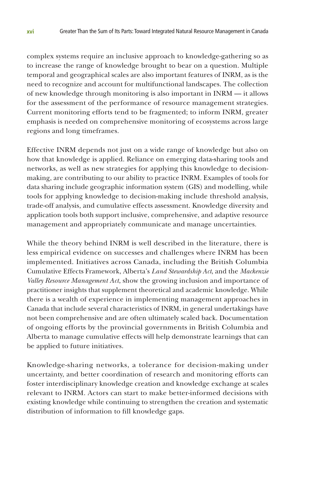complex systems require an inclusive approach to knowledge-gathering so as to increase the range of knowledge brought to bear on a question. Multiple temporal and geographical scales are also important features of INRM, as is the need to recognize and account for multifunctional landscapes. The collection of new knowledge through monitoring is also important in INRM — it allows for the assessment of the performance of resource management strategies. Current monitoring efforts tend to be fragmented; to inform INRM, greater emphasis is needed on comprehensive monitoring of ecosystems across large regions and long timeframes.

Effective INRM depends not just on a wide range of knowledge but also on how that knowledge is applied. Reliance on emerging data-sharing tools and networks, as well as new strategies for applying this knowledge to decisionmaking, are contributing to our ability to practice INRM. Examples of tools for data sharing include geographic information system (GIS) and modelling, while tools for applying knowledge to decision-making include threshold analysis, trade-off analysis, and cumulative effects assessment. Knowledge diversity and application tools both support inclusive, comprehensive, and adaptive resource management and appropriately communicate and manage uncertainties.

While the theory behind INRM is well described in the literature, there is less empirical evidence on successes and challenges where INRM has been implemented. Initiatives across Canada, including the British Columbia Cumulative Effects Framework, Alberta's *Land Stewardship Act*, and the *Mackenzie Valley Resource Management Act*, show the growing inclusion and importance of practitioner insights that supplement theoretical and academic knowledge. While there is a wealth of experience in implementing management approaches in Canada that include several characteristics of INRM, in general undertakings have not been comprehensive and are often ultimately scaled back. Documentation of ongoing efforts by the provincial governments in British Columbia and Alberta to manage cumulative effects will help demonstrate learnings that can be applied to future initiatives.

Knowledge-sharing networks, a tolerance for decision-making under uncertainty, and better coordination of research and monitoring efforts can foster interdisciplinary knowledge creation and knowledge exchange at scales relevant to INRM. Actors can start to make better-informed decisions with existing knowledge while continuing to strengthen the creation and systematic distribution of information to fill knowledge gaps.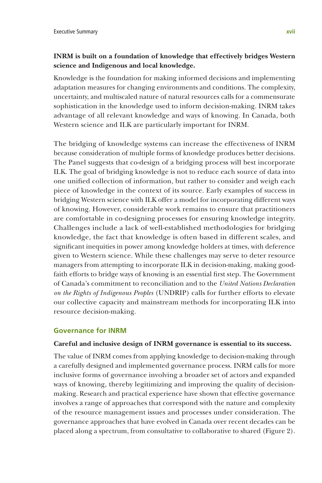### **INRM is built on a foundation of knowledge that effectively bridges Western science and Indigenous and local knowledge.**

Knowledge is the foundation for making informed decisions and implementing adaptation measures for changing environments and conditions. The complexity, uncertainty, and multiscaled nature of natural resources calls for a commensurate sophistication in the knowledge used to inform decision-making. INRM takes advantage of all relevant knowledge and ways of knowing. In Canada, both Western science and ILK are particularly important for INRM.

The bridging of knowledge systems can increase the effectiveness of INRM because consideration of multiple forms of knowledge produces better decisions. The Panel suggests that co-design of a bridging process will best incorporate ILK. The goal of bridging knowledge is not to reduce each source of data into one unified collection of information, but rather to consider and weigh each piece of knowledge in the context of its source. Early examples of success in bridging Western science with ILK offer a model for incorporating different ways of knowing. However, considerable work remains to ensure that practitioners are comfortable in co-designing processes for ensuring knowledge integrity. Challenges include a lack of well-established methodologies for bridging knowledge, the fact that knowledge is often based in different scales, and significant inequities in power among knowledge holders at times, with deference given to Western science. While these challenges may serve to deter resource managers from attempting to incorporate ILK in decision-making, making goodfaith efforts to bridge ways of knowing is an essential first step. The Government of Canada's commitment to reconciliation and to the *United Nations Declaration on the Rights of Indigenous Peoples* (UNDRIP) calls for further efforts to elevate our collective capacity and mainstream methods for incorporating ILK into resource decision-making.

## **Governance for INRM**

#### **Careful and inclusive design of INRM governance is essential to its success.**

The value of INRM comes from applying knowledge to decision-making through a carefully designed and implemented governance process. INRM calls for more inclusive forms of governance involving a broader set of actors and expanded ways of knowing, thereby legitimizing and improving the quality of decisionmaking. Research and practical experience have shown that effective governance involves a range of approaches that correspond with the nature and complexity of the resource management issues and processes under consideration. The governance approaches that have evolved in Canada over recent decades can be placed along a spectrum, from consultative to collaborative to shared (Figure 2).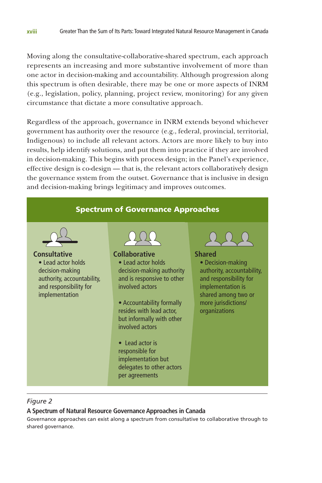Moving along the consultative-collaborative-shared spectrum, each approach represents an increasing and more substantive involvement of more than one actor in decision-making and accountability. Although progression along this spectrum is often desirable, there may be one or more aspects of INRM (e.g., legislation, policy, planning, project review, monitoring) for any given circumstance that dictate a more consultative approach.

Regardless of the approach, governance in INRM extends beyond whichever government has authority over the resource (e.g., federal, provincial, territorial, Indigenous) to include all relevant actors. Actors are more likely to buy into results, help identify solutions, and put them into practice if they are involved in decision-making. This begins with process design; in the Panel's experience, effective design is co-design — that is, the relevant actors collaboratively design the governance system from the outset. Governance that is inclusive in design and decision-making brings legitimacy and improves outcomes.



## *Figure 2*

#### **A Spectrum of Natural Resource Governance Approaches in Canada**

Governance approaches can exist along a spectrum from consultative to collaborative through to shared governance.